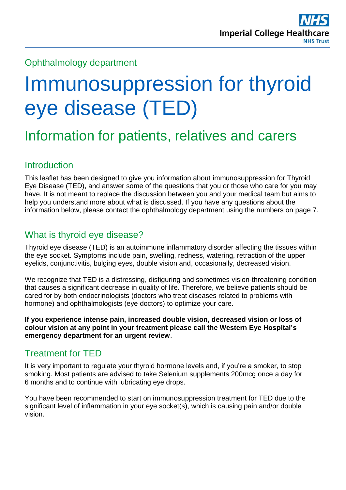## Ophthalmology department

# Immunosuppression for thyroid eye disease (TED)

## Information for patients, relatives and carers

## Introduction

This leaflet has been designed to give you information about immunosuppression for Thyroid Eye Disease (TED), and answer some of the questions that you or those who care for you may have. It is not meant to replace the discussion between you and your medical team but aims to help you understand more about what is discussed. If you have any questions about the information below, please contact the ophthalmology department using the numbers on page 7.

## What is thyroid eye disease?

Thyroid eye disease (TED) is an autoimmune inflammatory disorder affecting the tissues within the eye socket. Symptoms include pain, swelling, redness, watering, retraction of the upper eyelids, conjunctivitis, bulging eyes, double vision and, occasionally, decreased vision.

We recognize that TED is a distressing, disfiguring and sometimes vision-threatening condition that causes a significant decrease in quality of life. Therefore, we believe patients should be cared for by both endocrinologists (doctors who treat diseases related to problems with hormone) and ophthalmologists (eye doctors) to optimize your care.

**If you experience intense pain, increased double vision, decreased vision or loss of colour vision at any point in your treatment please call the Western Eye Hospital's emergency department for an urgent review**.

## Treatment for TED

It is very important to regulate your thyroid hormone levels and, if you're a smoker, to stop smoking. Most patients are advised to take Selenium supplements 200mcg once a day for 6 months and to continue with lubricating eye drops.

You have been recommended to start on immunosuppression treatment for TED due to the significant level of inflammation in your eve socket(s), which is causing pain and/or double vision.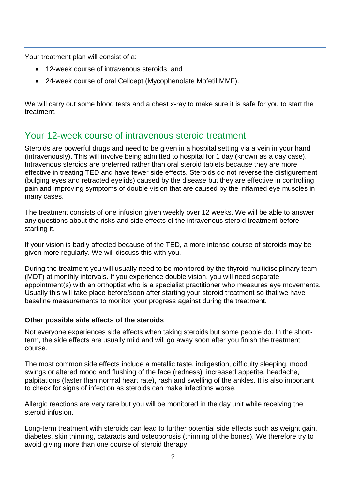Your treatment plan will consist of a:

- 12-week course of intravenous steroids, and
- 24-week course of oral Cellcept (Mycophenolate Mofetil MMF).

We will carry out some blood tests and a chest x-ray to make sure it is safe for you to start the treatment.

## Your 12-week course of intravenous steroid treatment

Steroids are powerful drugs and need to be given in a hospital setting via a vein in your hand (intravenously). This will involve being admitted to hospital for 1 day (known as a day case). Intravenous steroids are preferred rather than oral steroid tablets because they are more effective in treating TED and have fewer side effects. Steroids do not reverse the disfigurement (bulging eyes and retracted eyelids) caused by the disease but they are effective in controlling pain and improving symptoms of double vision that are caused by the inflamed eye muscles in many cases.

The treatment consists of one infusion given weekly over 12 weeks. We will be able to answer any questions about the risks and side effects of the intravenous steroid treatment before starting it.

If your vision is badly affected because of the TED, a more intense course of steroids may be given more regularly. We will discuss this with you.

During the treatment you will usually need to be monitored by the thyroid multidisciplinary team (MDT) at monthly intervals. If you experience double vision, you will need separate appointment(s) with an orthoptist who is a specialist practitioner who measures eye movements. Usually this will take place before/soon after starting your steroid treatment so that we have baseline measurements to monitor your progress against during the treatment.

#### **Other possible side effects of the steroids**

Not everyone experiences side effects when taking steroids but some people do. In the shortterm, the side effects are usually mild and will go away soon after you finish the treatment course.

The most common side effects include a metallic taste, indigestion, difficulty sleeping, mood swings or altered mood and flushing of the face (redness), increased appetite, headache, palpitations (faster than normal heart rate), rash and swelling of the ankles. It is also important to check for signs of infection as steroids can make infections worse.

Allergic reactions are very rare but you will be monitored in the day unit while receiving the steroid infusion.

Long-term treatment with steroids can lead to further potential side effects such as weight gain, diabetes, skin thinning, cataracts and osteoporosis (thinning of the bones). We therefore try to avoid giving more than one course of steroid therapy.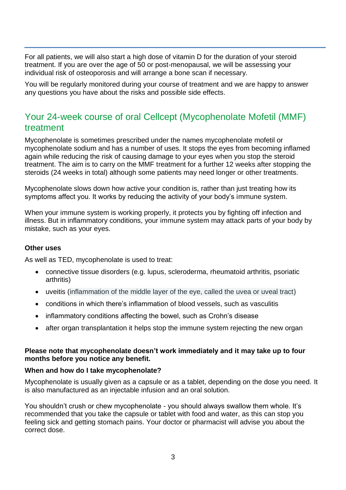For all patients, we will also start a high dose of vitamin D for the duration of your steroid treatment. If you are over the age of 50 or post-menopausal, we will be assessing your individual risk of osteoporosis and will arrange a bone scan if necessary.

You will be regularly monitored during your course of treatment and we are happy to answer any questions you have about the risks and possible side effects.

## Your 24-week course of oral Cellcept (Mycophenolate Mofetil (MMF) treatment

Mycophenolate is sometimes prescribed under the names mycophenolate mofetil or mycophenolate sodium and has a number of uses. It stops the eyes from becoming inflamed again while reducing the risk of causing damage to your eyes when you stop the steroid treatment. The aim is to carry on the MMF treatment for a further 12 weeks after stopping the steroids (24 weeks in total) although some patients may need longer or other treatments.

Mycophenolate slows down how active your condition is, rather than just treating how its symptoms affect you. It works by reducing the activity of your body's immune system.

When your immune system is working properly, it protects you by fighting off infection and illness. But in inflammatory conditions, your immune system may attack parts of your body by mistake, such as your eyes.

#### **Other uses**

As well as TED, mycophenolate is used to treat:

- connective tissue disorders (e.g. lupus, scleroderma, rheumatoid arthritis, psoriatic arthritis)
- uveitis (inflammation of the middle layer of the eye, called the uvea or uveal tract)
- conditions in which there's inflammation of blood vessels, such as vasculitis
- inflammatory conditions affecting the bowel, such as Crohn's disease
- after organ transplantation it helps stop the immune system rejecting the new organ

#### **Please note that mycophenolate doesn't work immediately and it may take up to four months before you notice any benefit.**

#### **When and how do I take mycophenolate?**

Mycophenolate is usually given as a capsule or as a tablet, depending on the dose you need. It is also manufactured as an injectable infusion and an oral solution.

You shouldn't crush or chew mycophenolate - you should always swallow them whole. It's recommended that you take the capsule or tablet with food and water, as this can stop you feeling sick and getting stomach pains. Your doctor or pharmacist will advise you about the correct dose.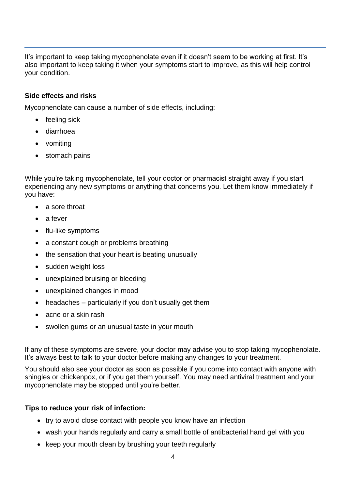It's important to keep taking mycophenolate even if it doesn't seem to be working at first. It's also important to keep taking it when your symptoms start to improve, as this will help control your condition.

#### **Side effects and risks**

Mycophenolate can cause a number of side effects, including:

- feeling sick
- diarrhoea
- vomiting
- stomach pains

While you're taking mycophenolate, tell your doctor or pharmacist straight away if you start experiencing any new symptoms or anything that concerns you. Let them know immediately if you have:

- a sore throat
- a fever
- flu-like symptoms
- a constant cough or problems breathing
- the sensation that your heart is beating unusually
- sudden weight loss
- unexplained bruising or bleeding
- unexplained changes in mood
- $\bullet$  headaches particularly if you don't usually get them
- acne or a skin rash
- swollen gums or an unusual taste in your mouth

If any of these symptoms are severe, your doctor may advise you to stop taking mycophenolate. It's always best to talk to your doctor before making any changes to your treatment.

You should also see your doctor as soon as possible if you come into contact with anyone with shingles or chickenpox, or if you get them yourself. You may need antiviral treatment and your mycophenolate may be stopped until you're better.

#### **Tips to reduce your risk of infection:**

- try to avoid close contact with people you know have an infection
- wash your hands regularly and carry a small bottle of antibacterial hand gel with you
- keep your mouth clean by brushing your teeth regularly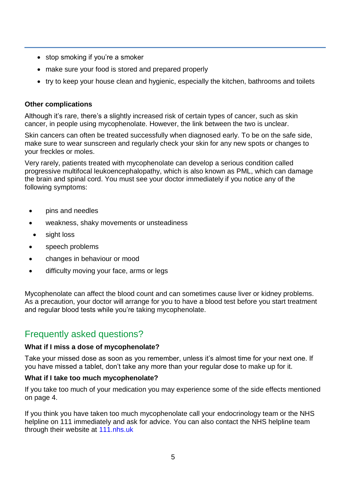- stop smoking if you're a smoker
- make sure your food is stored and prepared properly
- try to keep your house clean and hygienic, especially the kitchen, bathrooms and toilets

#### **Other complications**

Although it's rare, there's a slightly increased risk of certain types of cancer, such as skin cancer, in people using mycophenolate. However, the link between the two is unclear.

Skin cancers can often be treated successfully when diagnosed early. To be on the safe side, make sure to wear sunscreen and regularly check your skin for any new spots or changes to your freckles or moles.

Very rarely, patients treated with mycophenolate can develop a serious condition called progressive multifocal leukoencephalopathy, which is also known as PML, which can damage the brain and spinal cord. You must see your doctor immediately if you notice any of the following symptoms:

- pins and needles
- weakness, shaky movements or unsteadiness
- sight loss
- speech problems
- changes in behaviour or mood
- difficulty moving your face, arms or legs

Mycophenolate can affect the blood count and can sometimes cause liver or kidney problems. As a precaution, your doctor will arrange for you to have a blood test before you start treatment and regular blood tests while you're taking mycophenolate.

## Frequently asked questions?

#### **What if I miss a dose of mycophenolate?**

Take your missed dose as soon as you remember, unless it's almost time for your next one. If you have missed a tablet, don't take any more than your regular dose to make up for it.

#### **What if I take too much mycophenolate?**

If you take too much of your medication you may experience some of the side effects mentioned on page 4.

If you think you have taken too much mycophenolate call your endocrinology team or the NHS helpline on 111 immediately and ask for advice. You can also contact the NHS helpline team through their website at<111.nhs.uk>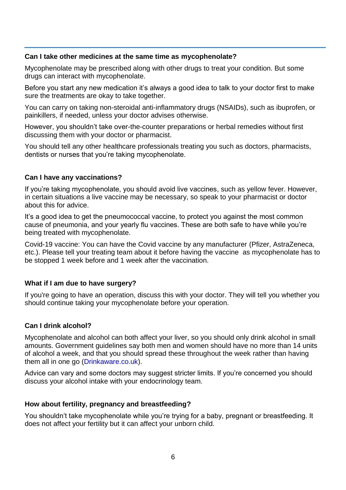#### **Can I take other medicines at the same time as mycophenolate?**

Mycophenolate may be prescribed along with other drugs to treat your condition. But some drugs can interact with mycophenolate.

Before you start any new medication it's always a good idea to talk to your doctor first to make sure the treatments are okay to take together.

You can carry on taking non-steroidal anti-inflammatory drugs (NSAIDs), such as ibuprofen, or painkillers, if needed, unless your doctor advises otherwise.

However, you shouldn't take over-the-counter preparations or herbal remedies without first discussing them with your doctor or pharmacist.

You should tell any other healthcare professionals treating you such as doctors, pharmacists, dentists or nurses that you're taking mycophenolate.

#### **Can I have any vaccinations?**

If you're taking mycophenolate, you should avoid live vaccines, such as yellow fever. However, in certain situations a live vaccine may be necessary, so speak to your pharmacist or doctor about this for advice.

It's a good idea to get the pneumococcal vaccine, to protect you against the most common cause of pneumonia, and your yearly flu vaccines. These are both safe to have while you're being treated with mycophenolate.

Covid-19 vaccine: You can have the Covid vaccine by any manufacturer (Pfizer, AstraZeneca, etc.). Please tell your treating team about it before having the vaccine as mycophenolate has to be stopped 1 week before and 1 week after the vaccination.

#### **What if I am due to have surgery?**

If you're going to have an operation, discuss this with your doctor. They will tell you whether you should continue taking your mycophenolate before your operation.

#### **Can I drink alcohol?**

Mycophenolate and alcohol can both affect your liver, so you should only drink alcohol in small amounts. Government guidelines say both men and women should have no more than 14 units of alcohol a week, and that you should spread these throughout the week rather than having them all in one go [\(Drinkaware.co.uk\)](http://www.drinkaware.co.uk/).

Advice can vary and some doctors may suggest stricter limits. If you're concerned you should discuss your alcohol intake with your endocrinology team.

#### **How about fertility, pregnancy and breastfeeding?**

You shouldn't take mycophenolate while you're trying for a baby, pregnant or breastfeeding. It does not affect your fertility but it can affect your unborn child.